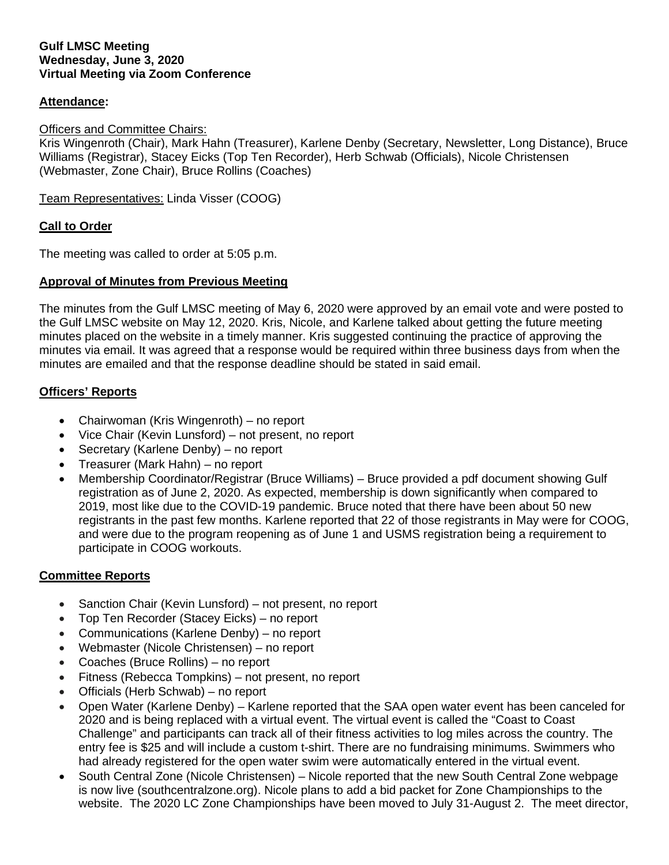#### **Gulf LMSC Meeting Wednesday, June 3, 2020 Virtual Meeting via Zoom Conference**

## **Attendance:**

### Officers and Committee Chairs:

Kris Wingenroth (Chair), Mark Hahn (Treasurer), Karlene Denby (Secretary, Newsletter, Long Distance), Bruce Williams (Registrar), Stacey Eicks (Top Ten Recorder), Herb Schwab (Officials), Nicole Christensen (Webmaster, Zone Chair), Bruce Rollins (Coaches)

Team Representatives: Linda Visser (COOG)

#### **Call to Order**

The meeting was called to order at 5:05 p.m.

### **Approval of Minutes from Previous Meeting**

The minutes from the Gulf LMSC meeting of May 6, 2020 were approved by an email vote and were posted to the Gulf LMSC website on May 12, 2020. Kris, Nicole, and Karlene talked about getting the future meeting minutes placed on the website in a timely manner. Kris suggested continuing the practice of approving the minutes via email. It was agreed that a response would be required within three business days from when the minutes are emailed and that the response deadline should be stated in said email.

### **Officers' Reports**

- Chairwoman (Kris Wingenroth) no report
- Vice Chair (Kevin Lunsford) not present, no report
- Secretary (Karlene Denby) no report
- Treasurer (Mark Hahn) no report
- Membership Coordinator/Registrar (Bruce Williams) Bruce provided a pdf document showing Gulf registration as of June 2, 2020. As expected, membership is down significantly when compared to 2019, most like due to the COVID-19 pandemic. Bruce noted that there have been about 50 new registrants in the past few months. Karlene reported that 22 of those registrants in May were for COOG, and were due to the program reopening as of June 1 and USMS registration being a requirement to participate in COOG workouts.

### **Committee Reports**

- Sanction Chair (Kevin Lunsford) not present, no report
- Top Ten Recorder (Stacey Eicks) no report
- Communications (Karlene Denby) no report
- Webmaster (Nicole Christensen) no report
- Coaches (Bruce Rollins) no report
- Fitness (Rebecca Tompkins) not present, no report
- Officials (Herb Schwab) no report
- Open Water (Karlene Denby) Karlene reported that the SAA open water event has been canceled for 2020 and is being replaced with a virtual event. The virtual event is called the "Coast to Coast Challenge" and participants can track all of their fitness activities to log miles across the country. The entry fee is \$25 and will include a custom t-shirt. There are no fundraising minimums. Swimmers who had already registered for the open water swim were automatically entered in the virtual event.
- South Central Zone (Nicole Christensen) Nicole reported that the new South Central Zone webpage is now live (southcentralzone.org). Nicole plans to add a bid packet for Zone Championships to the website. The 2020 LC Zone Championships have been moved to July 31-August 2. The meet director,